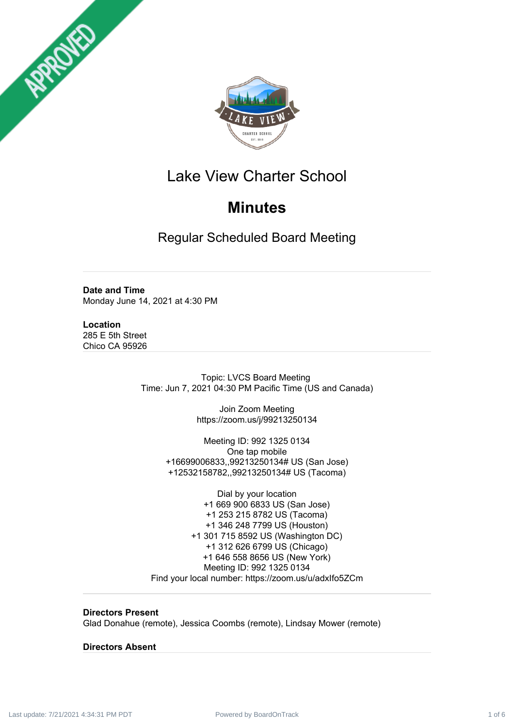



## Lake View Charter School

# **Minutes**

Regular Scheduled Board Meeting

#### **Date and Time**

Monday June 14, 2021 at 4:30 PM

#### **Location**

285 E 5th Street Chico CA 95926

> Topic: LVCS Board Meeting Time: Jun 7, 2021 04:30 PM Pacific Time (US and Canada)

> > Join Zoom Meeting https://zoom.us/j/99213250134

Meeting ID: 992 1325 0134 One tap mobile +16699006833,,99213250134# US (San Jose) +12532158782,,99213250134# US (Tacoma)

Dial by your location +1 669 900 6833 US (San Jose) +1 253 215 8782 US (Tacoma) +1 346 248 7799 US (Houston) +1 301 715 8592 US (Washington DC) +1 312 626 6799 US (Chicago) +1 646 558 8656 US (New York) Meeting ID: 992 1325 0134 Find your local number: https://zoom.us/u/adxIfo5ZCm

#### **Directors Present**

Glad Donahue (remote), Jessica Coombs (remote), Lindsay Mower (remote)

#### **Directors Absent**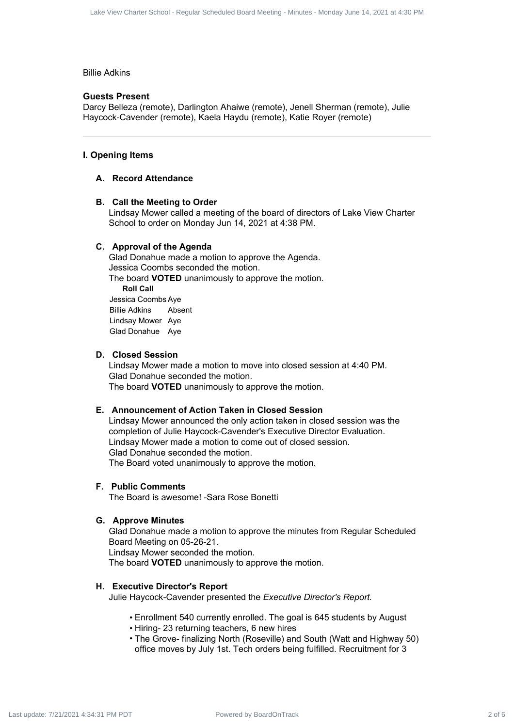#### Billie Adkins

#### **Guests Present**

Darcy Belleza (remote), Darlington Ahaiwe (remote), Jenell Sherman (remote), Julie Haycock-Cavender (remote), Kaela Haydu (remote), Katie Royer (remote)

#### **I. Opening Items**

#### **A. Record Attendance**

#### **B. Call the Meeting to Order**

Lindsay Mower called a meeting of the board of directors of Lake View Charter School to order on Monday Jun 14, 2021 at 4:38 PM.

#### **C. Approval of the Agenda**

Glad Donahue made a motion to approve the Agenda. Jessica Coombs seconded the motion. The board **VOTED** unanimously to approve the motion. **Roll Call** Jessica Coombs Aye Billie Adkins Absent Lindsay Mower Aye Glad Donahue Aye oute Was Claus School - Regular School - Minutes - Minutes - Minutes - Minutes - Minutes - Minutes - Minutes - Minutes - Minutes - Minutes - Minutes - Minutes - Minutes - Minutes - Minutes - Minutes - Minutes - Minutes -

#### **D. Closed Session**

Lindsay Mower made a motion to move into closed session at 4:40 PM. Glad Donahue seconded the motion. The board **VOTED** unanimously to approve the motion.

#### **E. Announcement of Action Taken in Closed Session**

Lindsay Mower announced the only action taken in closed session was the completion of Julie Haycock-Cavender's Executive Director Evaluation. Lindsay Mower made a motion to come out of closed session. Glad Donahue seconded the motion. The Board voted unanimously to approve the motion.

#### **F. Public Comments**

The Board is awesome! -Sara Rose Bonetti

#### **G. Approve Minutes**

Glad Donahue made a motion to approve the minutes from Regular Scheduled Board Meeting on 05-26-21. Lindsay Mower seconded the motion.

The board **VOTED** unanimously to approve the motion.

#### **H. Executive Director's Report**

Julie Haycock-Cavender presented the *Executive Director's Report.*

- Enrollment 540 currently enrolled. The goal is 645 students by August
- Hiring- 23 returning teachers, 6 new hires
- The Grove- finalizing North (Roseville) and South (Watt and Highway 50) office moves by July 1st. Tech orders being fulfilled. Recruitment for 3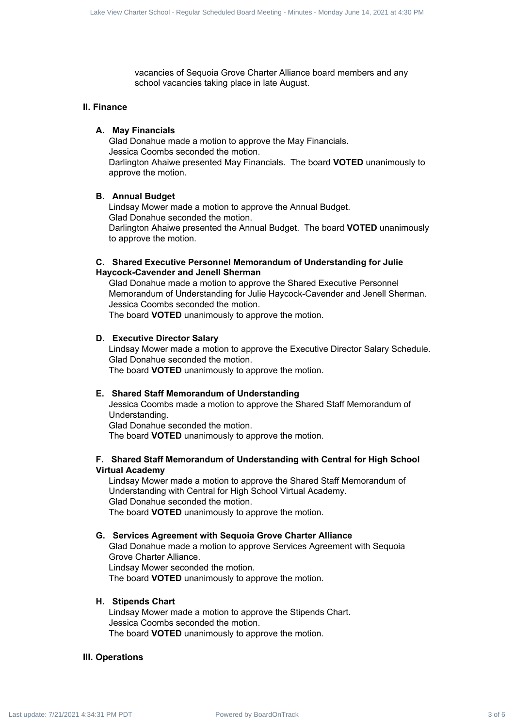vacancies of Sequoia Grove Charter Alliance board members and any school vacancies taking place in late August.

#### **II. Finance**

#### **A. May Financials**

Glad Donahue made a motion to approve the May Financials. Jessica Coombs seconded the motion. Darlington Ahaiwe presented May Financials. The board **VOTED** unanimously to approve the motion. Power Charter School - Regular School - Regular School - Regular School - Regular Schedule Schedule School - Regular School - Regular Schedule Schedule Schedule Schedule Schedule Schedule Schedule Schedule Schedule Schedul

#### **B. Annual Budget**

Lindsay Mower made a motion to approve the Annual Budget. Glad Donahue seconded the motion. Darlington Ahaiwe presented the Annual Budget. The board **VOTED** unanimously to approve the motion.

#### **C. Shared Executive Personnel Memorandum of Understanding for Julie Haycock-Cavender and Jenell Sherman**

Glad Donahue made a motion to approve the Shared Executive Personnel Memorandum of Understanding for Julie Haycock-Cavender and Jenell Sherman. Jessica Coombs seconded the motion.

The board **VOTED** unanimously to approve the motion.

#### **D. Executive Director Salary**

Lindsay Mower made a motion to approve the Executive Director Salary Schedule. Glad Donahue seconded the motion. The board **VOTED** unanimously to approve the motion.

#### **E. Shared Staff Memorandum of Understanding**

Jessica Coombs made a motion to approve the Shared Staff Memorandum of Understanding.

Glad Donahue seconded the motion. The board **VOTED** unanimously to approve the motion.

#### **F. Shared Staff Memorandum of Understanding with Central for High School Virtual Academy**

Lindsay Mower made a motion to approve the Shared Staff Memorandum of Understanding with Central for High School Virtual Academy. Glad Donahue seconded the motion. The board **VOTED** unanimously to approve the motion.

## **G. Services Agreement with Sequoia Grove Charter Alliance**

Glad Donahue made a motion to approve Services Agreement with Sequoia Grove Charter Alliance. Lindsay Mower seconded the motion. The board **VOTED** unanimously to approve the motion.

#### **H. Stipends Chart**

Lindsay Mower made a motion to approve the Stipends Chart. Jessica Coombs seconded the motion. The board **VOTED** unanimously to approve the motion.

#### **III. Operations**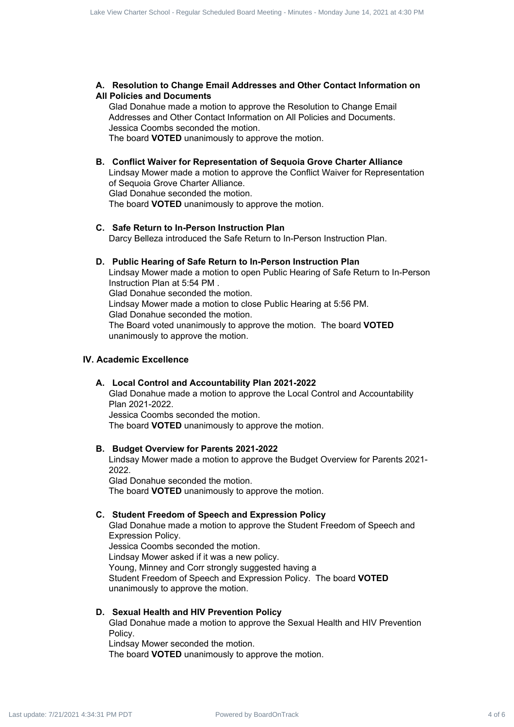#### **A. Resolution to Change Email Addresses and Other Contact Information on All Policies and Documents**

Glad Donahue made a motion to approve the Resolution to Change Email Addresses and Other Contact Information on All Policies and Documents. Jessica Coombs seconded the motion.

The board **VOTED** unanimously to approve the motion.

#### **B. Conflict Waiver for Representation of Sequoia Grove Charter Alliance** Lindsay Mower made a motion to approve the Conflict Waiver for Representation of Sequoia Grove Charter Alliance. Glad Donahue seconded the motion. The board **VOTED** unanimously to approve the motion.

## **C. Safe Return to In-Person Instruction Plan**

Darcy Belleza introduced the Safe Return to In-Person Instruction Plan.

#### **D. Public Hearing of Safe Return to In-Person Instruction Plan**

Lindsay Mower made a motion to open Public Hearing of Safe Return to In-Person Instruction Plan at 5:54 PM . Glad Donahue seconded the motion. Lindsay Mower made a motion to close Public Hearing at 5:56 PM. Glad Donahue seconded the motion. The Board voted unanimously to approve the motion. The board **VOTED** unanimously to approve the motion. ole View Charter Board Meeting Track 4 of 6 Lake View Charter School - Regular Scheduled Board - Alexander School - Regular Scheduled Board - Minutes - Minutes - Minutes - Minutes - Minutes - Minutes - Minutes - Minutes

#### **IV. Academic Excellence**

#### **A. Local Control and Accountability Plan 2021-2022**

Glad Donahue made a motion to approve the Local Control and Accountability Plan 2021-2022. Jessica Coombs seconded the motion.

The board **VOTED** unanimously to approve the motion.

#### **B. Budget Overview for Parents 2021-2022**

Lindsay Mower made a motion to approve the Budget Overview for Parents 2021- 2022.

Glad Donahue seconded the motion. The board **VOTED** unanimously to approve the motion.

#### **C. Student Freedom of Speech and Expression Policy**

Glad Donahue made a motion to approve the Student Freedom of Speech and Expression Policy. Jessica Coombs seconded the motion. Lindsay Mower asked if it was a new policy. Young, Minney and Corr strongly suggested having a Student Freedom of Speech and Expression Policy. The board **VOTED** unanimously to approve the motion.

#### **D. Sexual Health and HIV Prevention Policy**

Glad Donahue made a motion to approve the Sexual Health and HIV Prevention Policy.

Lindsay Mower seconded the motion.

The board **VOTED** unanimously to approve the motion.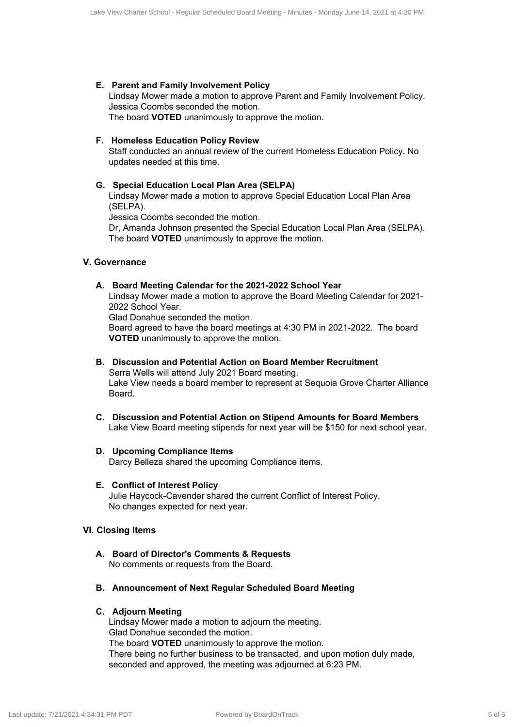#### **E. Parent and Family Involvement Policy**

Lindsay Mower made a motion to approve Parent and Family Involvement Policy. Jessica Coombs seconded the motion.

The board **VOTED** unanimously to approve the motion.

#### **F. Homeless Education Policy Review**

Staff conducted an annual review of the current Homeless Education Policy. No updates needed at this time.

#### **G. Special Education Local Plan Area (SELPA)**

Lindsay Mower made a motion to approve Special Education Local Plan Area (SELPA).

Jessica Coombs seconded the motion.

Dr, Amanda Johnson presented the Special Education Local Plan Area (SELPA). The board **VOTED** unanimously to approve the motion.

#### **V. Governance**

#### **A. Board Meeting Calendar for the 2021-2022 School Year**

Lindsay Mower made a motion to approve the Board Meeting Calendar for 2021- 2022 School Year.

Glad Donahue seconded the motion.

Board agreed to have the board meetings at 4:30 PM in 2021-2022. The board **VOTED** unanimously to approve the motion.

### **B. Discussion and Potential Action on Board Member Recruitment**

Serra Wells will attend July 2021 Board meeting. Lake View needs a board member to represent at Sequoia Grove Charter Alliance Board.

**C. Discussion and Potential Action on Stipend Amounts for Board Members** Lake View Board meeting stipends for next year will be \$150 for next school year.

#### **D. Upcoming Compliance Items**

Darcy Belleza shared the upcoming Compliance items.

#### **E. Conflict of Interest Policy**

Julie Haycock-Cavender shared the current Conflict of Interest Policy. No changes expected for next year.

#### **VI. Closing Items**

- **A. Board of Director's Comments & Requests** No comments or requests from the Board.
- **B. Announcement of Next Regular Scheduled Board Meeting**

#### **C. Adjourn Meeting**

Lindsay Mower made a motion to adjourn the meeting. Glad Donahue seconded the motion. The board **VOTED** unanimously to approve the motion. There being no further business to be transacted, and upon motion duly made, seconded and approved, the meeting was adjourned at 6:23 PM. ola View Chart School - Regular School - Regular School - Regular School - Regular Scheduled Board Charter School - Regular Scheduled Board - Minutes - Minutes - Minutes - Minutes - Minutes - Minutes - Minutes - Minutes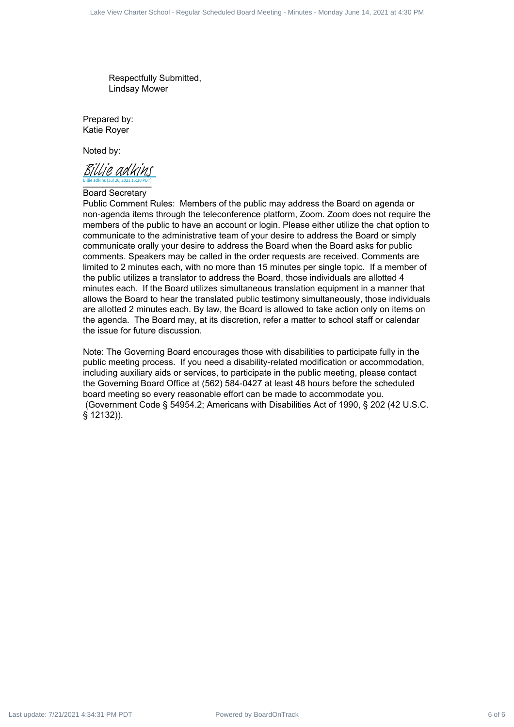Respectfully Submitted, Lindsay Mower

Prepared by: Katie Royer

Noted by:

Billie adkins (Jul 26, 2021 15:30 PDT)<br> Billie adkins (Jul 26, 2021 15:30 PDT) [Billie adkins](https://na2.documents.adobe.com/verifier?tx=CBJCHBCAABAA4LgrFh3W2hwv7WPaLH46Ty3ZYqiHSDLX)

Board Secretary

Public Comment Rules: Members of the public may address the Board on agenda or non-agenda items through the teleconference platform, Zoom. Zoom does not require the members of the public to have an account or login. Please either utilize the chat option to communicate to the administrative team of your desire to address the Board or simply communicate orally your desire to address the Board when the Board asks for public comments. Speakers may be called in the order requests are received. Comments are limited to 2 minutes each, with no more than 15 minutes per single topic. If a member of the public utilizes a translator to address the Board, those individuals are allotted 4 minutes each. If the Board utilizes simultaneous translation equipment in a manner that allows the Board to hear the translated public testimony simultaneously, those individuals are allotted 2 minutes each. By law, the Board is allowed to take action only on items on the agenda. The Board may, at its discretion, refer a matter to school staff or calendar the issue for future discussion. We observe the state of external of the state View Charter Schedule Scheduled Board Charter School - Regular Schedule Board Schedule Board Schedule Board Schedule Board Schedule Board Schedule Board Schedule Board Meeti

Note: The Governing Board encourages those with disabilities to participate fully in the public meeting process. If you need a disability-related modification or accommodation, including auxiliary aids or services, to participate in the public meeting, please contact the Governing Board Office at (562) 584-0427 at least 48 hours before the scheduled board meeting so every reasonable effort can be made to accommodate you. (Government Code § 54954.2; Americans with Disabilities Act of 1990, § 202 (42 U.S.C. § 12132)).